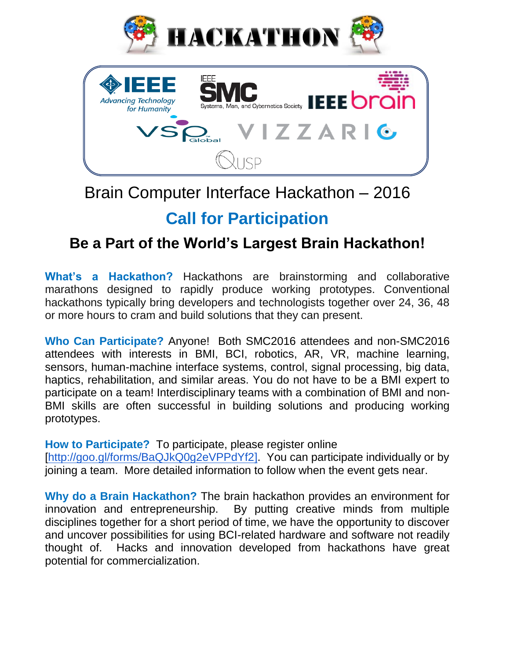



# Brain Computer Interface Hackathon – 2016

# **Call for Participation**

# **Be a Part of the World's Largest Brain Hackathon!**

**What's a Hackathon?** Hackathons are brainstorming and collaborative marathons designed to rapidly produce working prototypes. Conventional hackathons typically bring developers and technologists together over 24, 36, 48 or more hours to cram and build solutions that they can present.

**Who Can Participate?** Anyone! Both SMC2016 attendees and non-SMC2016 attendees with interests in BMI, BCI, robotics, AR, VR, machine learning, sensors, human-machine interface systems, control, signal processing, big data, haptics, rehabilitation, and similar areas. You do not have to be a BMI expert to participate on a team! Interdisciplinary teams with a combination of BMI and non-BMI skills are often successful in building solutions and producing working prototypes.

**How to Participate?** To participate, please register online

[\[http://goo.gl/forms/BaQJkQ0g2eVPPdYf2\]](http://goo.gl/forms/BaQJkQ0g2eVPPdYf2). You can participate individually or by joining a team. More detailed information to follow when the event gets near.

**Why do a Brain Hackathon?** The brain hackathon provides an environment for innovation and entrepreneurship. By putting creative minds from multiple disciplines together for a short period of time, we have the opportunity to discover and uncover possibilities for using BCI-related hardware and software not readily thought of. Hacks and innovation developed from hackathons have great potential for commercialization.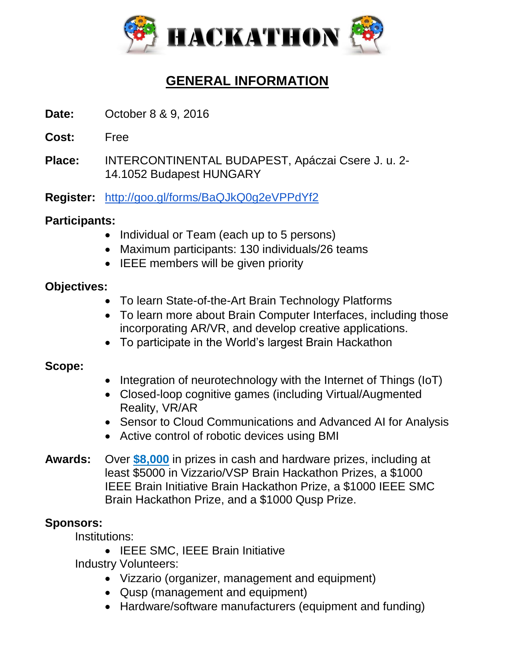

## **GENERAL INFORMATION**

- **Date:** October 8 & 9, 2016
- **Cost:** Free
- **Place:** INTERCONTINENTAL BUDAPEST, Apáczai Csere J. u. 2- 14.1052 Budapest HUNGARY
- **Register:** <http://goo.gl/forms/BaQJkQ0g2eVPPdYf2>

### **Participants:**

- Individual or Team (each up to 5 persons)
- Maximum participants: 130 individuals/26 teams
- IEEE members will be given priority

### **Objectives:**

- To learn State-of-the-Art Brain Technology Platforms
- To learn more about Brain Computer Interfaces, including those incorporating AR/VR, and develop creative applications.
- To participate in the World's largest Brain Hackathon

#### **Scope:**

- Integration of neurotechnology with the Internet of Things (IoT)
- Closed-loop cognitive games (including Virtual/Augmented Reality, VR/AR
- Sensor to Cloud Communications and Advanced AI for Analysis
- Active control of robotic devices using BMI
- **Awards:** Over **\$8,000** in prizes in cash and hardware prizes, including at least \$5000 in Vizzario/VSP Brain Hackathon Prizes, a \$1000 IEEE Brain Initiative Brain Hackathon Prize, a \$1000 IEEE SMC Brain Hackathon Prize, and a \$1000 Qusp Prize.

### **Sponsors:**

Institutions:

• IEEE SMC, IEEE Brain Initiative

Industry Volunteers:

- Vizzario (organizer, management and equipment)
- Qusp (management and equipment)
- Hardware/software manufacturers (equipment and funding)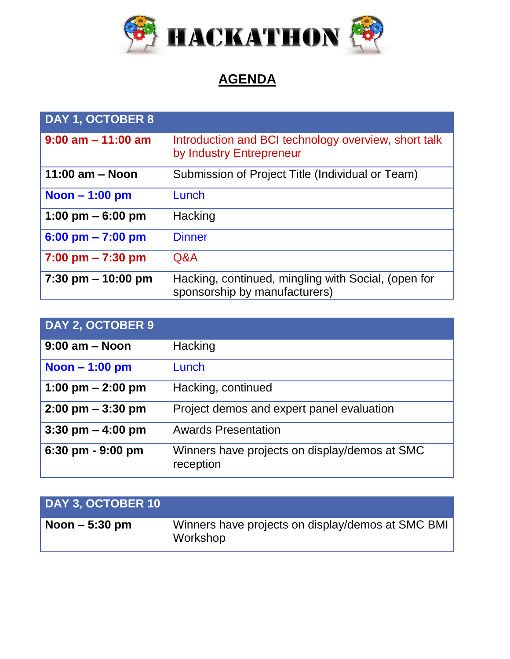

## **AGENDA**

| DAY 1, OCTOBER 8                    |                                                                                      |
|-------------------------------------|--------------------------------------------------------------------------------------|
| $9:00$ am $-11:00$ am               | Introduction and BCI technology overview, short talk<br>by Industry Entrepreneur     |
| 11:00 $am - Noon$                   | Submission of Project Title (Individual or Team)                                     |
| Noon $-1:00$ pm                     | Lunch                                                                                |
| 1:00 pm $-6:00$ pm                  | Hacking                                                                              |
| $6:00 \text{ pm} - 7:00 \text{ pm}$ | <b>Dinner</b>                                                                        |
| $7:00 \text{ pm} - 7:30 \text{ pm}$ | Q&A                                                                                  |
| $7:30$ pm $- 10:00$ pm              | Hacking, continued, mingling with Social, (open for<br>sponsorship by manufacturers) |

| DAY 2, OCTOBER 9                    |                                                            |
|-------------------------------------|------------------------------------------------------------|
| $9:00$ am $-$ Noon                  | Hacking                                                    |
| Noon $-1:00$ pm                     | Lunch                                                      |
| 1:00 pm $-$ 2:00 pm                 | Hacking, continued                                         |
| $2:00 \text{ pm} - 3:30 \text{ pm}$ | Project demos and expert panel evaluation                  |
| 3:30 pm $-$ 4:00 pm                 | <b>Awards Presentation</b>                                 |
| 6:30 pm - 9:00 pm                   | Winners have projects on display/demos at SMC<br>reception |

| <b>DAY 3. OCTOBER 10</b>   |                                                               |
|----------------------------|---------------------------------------------------------------|
| $\sqrt{N}$ Noon $-5:30$ pm | Winners have projects on display/demos at SMC BMI<br>Workshop |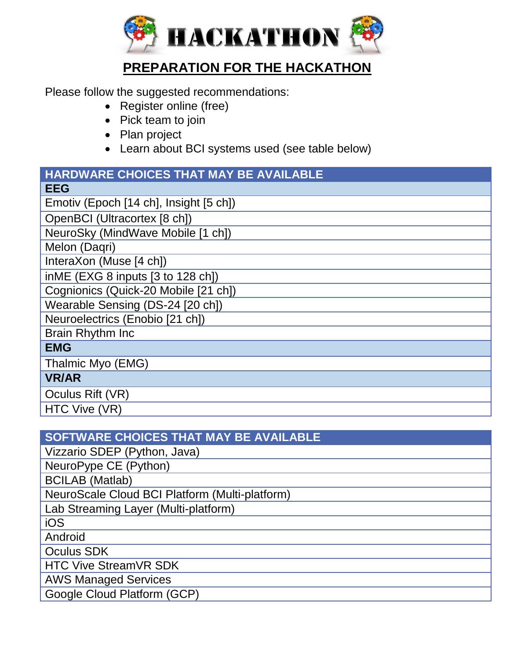

## **PREPARATION FOR THE HACKATHON**

Please follow the suggested recommendations:

- Register online (free)
- Pick team to join
- Plan project
- Learn about BCI systems used (see table below)

# **HARDWARE CHOICES THAT MAY BE AVAILABLE**

## **SOFTWARE CHOICES THAT MAY BE AVAILABLE** Vizzario SDEP (Python, Java) NeuroPype CE (Python) BCILAB (Matlab) NeuroScale Cloud BCI Platform (Multi-platform) Lab Streaming Layer (Multi-platform) iOS **Android** Oculus SDK HTC Vive StreamVR SDK AWS Managed Services Google Cloud Platform (GCP)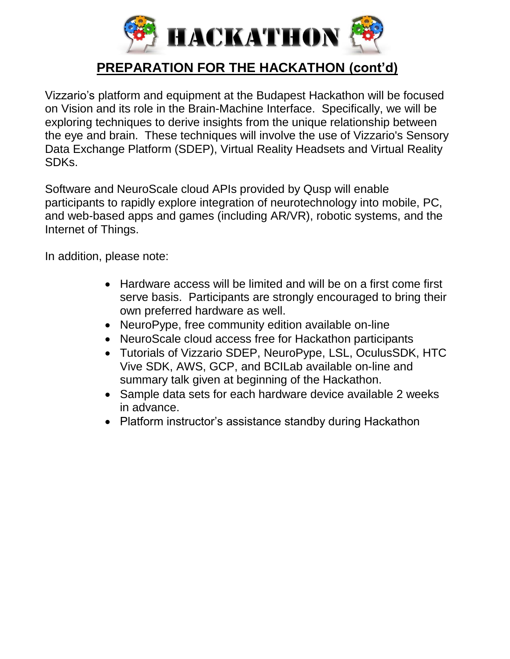

## **PREPARATION FOR THE HACKATHON (cont'd)**

Vizzario's platform and equipment at the Budapest Hackathon will be focused on Vision and its role in the Brain-Machine Interface. Specifically, we will be exploring techniques to derive insights from the unique relationship between the eye and brain. These techniques will involve the use of Vizzario's Sensory Data Exchange Platform (SDEP), Virtual Reality Headsets and Virtual Reality SDKs.

Software and NeuroScale cloud APIs provided by Qusp will enable participants to rapidly explore integration of neurotechnology into mobile, PC, and web-based apps and games (including AR/VR), robotic systems, and the Internet of Things.

In addition, please note:

- Hardware access will be limited and will be on a first come first serve basis. Participants are strongly encouraged to bring their own preferred hardware as well.
- NeuroPype, free community edition available on-line
- NeuroScale cloud access free for Hackathon participants
- Tutorials of Vizzario SDEP, NeuroPype, LSL, OculusSDK, HTC Vive SDK, AWS, GCP, and BCILab available on-line and summary talk given at beginning of the Hackathon.
- Sample data sets for each hardware device available 2 weeks in advance.
- Platform instructor's assistance standby during Hackathon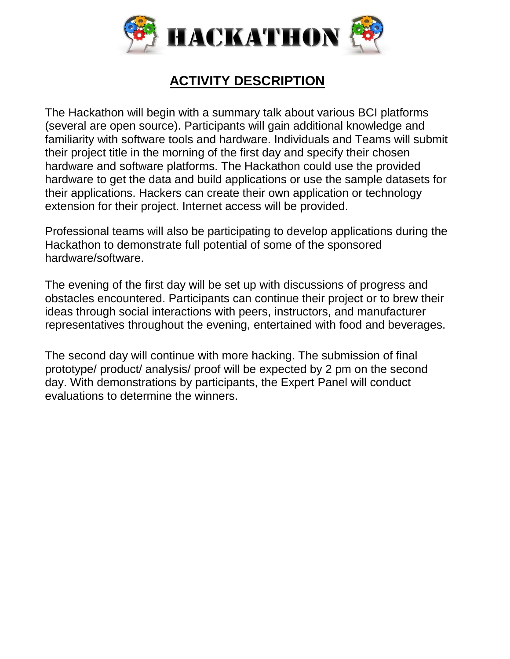

## **ACTIVITY DESCRIPTION**

The Hackathon will begin with a summary talk about various BCI platforms (several are open source). Participants will gain additional knowledge and familiarity with software tools and hardware. Individuals and Teams will submit their project title in the morning of the first day and specify their chosen hardware and software platforms. The Hackathon could use the provided hardware to get the data and build applications or use the sample datasets for their applications. Hackers can create their own application or technology extension for their project. Internet access will be provided.

Professional teams will also be participating to develop applications during the Hackathon to demonstrate full potential of some of the sponsored hardware/software.

The evening of the first day will be set up with discussions of progress and obstacles encountered. Participants can continue their project or to brew their ideas through social interactions with peers, instructors, and manufacturer representatives throughout the evening, entertained with food and beverages.

The second day will continue with more hacking. The submission of final prototype/ product/ analysis/ proof will be expected by 2 pm on the second day. With demonstrations by participants, the Expert Panel will conduct evaluations to determine the winners.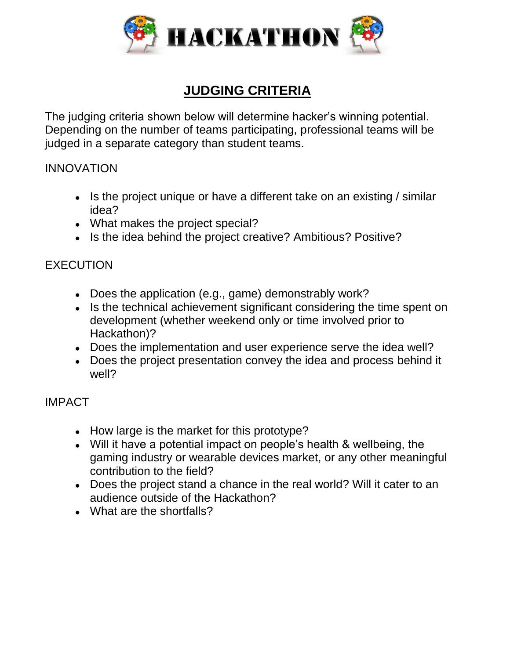

## **JUDGING CRITERIA**

The judging criteria shown below will determine hacker's winning potential. Depending on the number of teams participating, professional teams will be judged in a separate category than student teams.

#### INNOVATION

- $\bullet$  Is the project unique or have a different take on an existing / similar idea?
- What makes the project special?
- Is the idea behind the project creative? Ambitious? Positive?

### EXECUTION

- $\bullet$  Does the application (e.g., game) demonstrably work?
- Is the technical achievement significant considering the time spent on development (whether weekend only or time involved prior to Hackathon)?
- Does the implementation and user experience serve the idea well?
- Does the project presentation convey the idea and process behind it well?

### IMPACT

- How large is the market for this prototype?
- Will it have a potential impact on people's health & wellbeing, the gaming industry or wearable devices market, or any other meaningful contribution to the field?
- Does the project stand a chance in the real world? Will it cater to an audience outside of the Hackathon?
- What are the shortfalls?